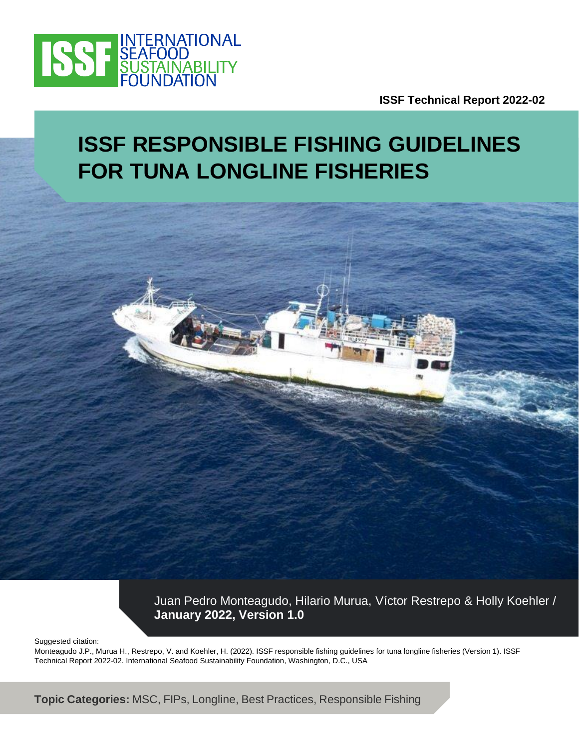

**ISSF Technical Report 2022-02**

# **ISSF RESPONSIBLE FISHING GUIDELINES FOR TUNA LONGLINE FISHERIES**



Suggested citation:

Monteagudo J.P., Murua H., Restrepo, V. and Koehler, H. (2022). ISSF responsible fishing guidelines for tuna longline fisheries (Version 1). ISSF Technical Report 2022-02. International Seafood Sustainability Foundation, Washington, D.C., USA

 $I$ **Topic Categories:** MSC, FIPs, Longline, Best Practices, Responsible Fishing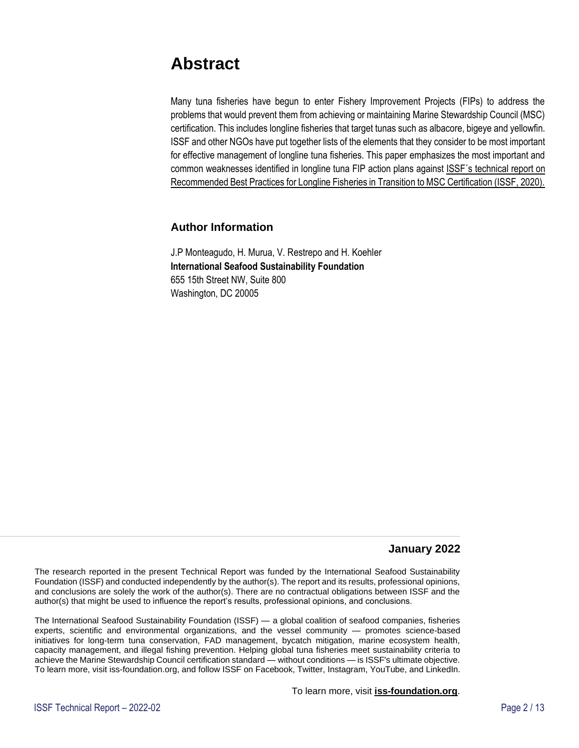### **Abstract**

Many tuna fisheries have begun to enter Fishery Improvement Projects (FIPs) to address the problems that would prevent them from achieving or maintaining Marine Stewardship Council (MSC) certification. This includes longline fisheries that target tunas such as albacore, bigeye and yellowfin. ISSF and other NGOs have put together lists of the elements that they consider to be most important for effective management of longline tuna fisheries. This paper emphasizes the most important and common weaknesses identified in longline tuna FIP action plans against [ISSF´s technical report on](https://www.iss-foundation.org/research-advocacy-recommendations/our-scientific-program/scientific-reports/download-info/issf-2020-10-recommended-best-practices-for-tuna-longline-fisheries-in-transition-to-msc-certification/)  [Recommended Best Practices for Longline Fisheries in Transition to MSC Certification \(ISSF, 2020\).](https://www.iss-foundation.org/research-advocacy-recommendations/our-scientific-program/scientific-reports/download-info/issf-2020-10-recommended-best-practices-for-tuna-longline-fisheries-in-transition-to-msc-certification/)

#### **Author Information**

J.P Monteagudo, H. Murua, V. Restrepo and H. Koehler **International Seafood Sustainability Foundation** 655 15th Street NW, Suite 800 Washington, DC 20005

#### **January 2022**

The research reported in the present Technical Report was funded by the International Seafood Sustainability Foundation (ISSF) and conducted independently by the author(s). The report and its results, professional opinions, and conclusions are solely the work of the author(s). There are no contractual obligations between ISSF and the author(s) that might be used to influence the report's results, professional opinions, and conclusions.

The International Seafood Sustainability Foundation (ISSF) — a global coalition of seafood companies, fisheries experts, scientific and environmental organizations, and the vessel community — promotes science-based initiatives for long-term tuna conservation, FAD management, bycatch mitigation, marine ecosystem health, capacity management, and illegal fishing prevention. Helping global tuna fisheries meet sustainability criteria to achieve the Marine Stewardship Council certification standard — without conditions — is ISSF's ultimate objective. To learn more, visit iss-foundation.org, and follow ISSF on Facebook, Twitter, Instagram, YouTube, and LinkedIn.

To learn more, visit **[iss-foundation.org](http://iss-foundation.org/)**.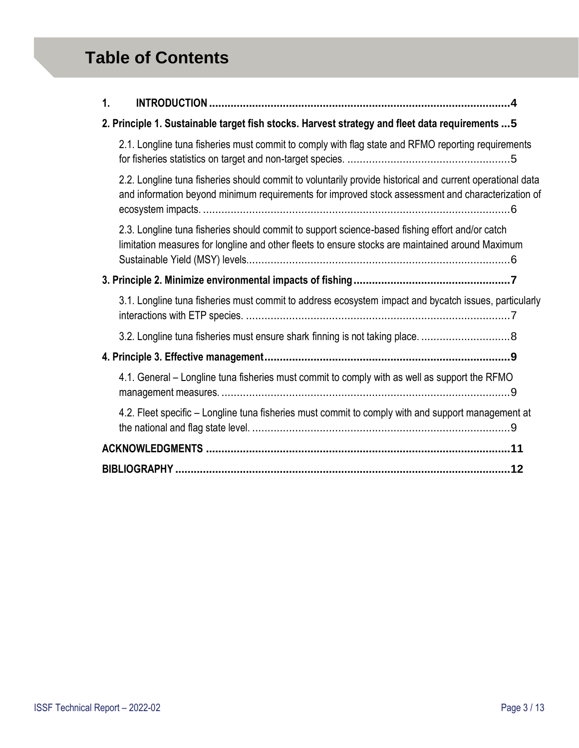## **Table of Contents**

| 1.                                                                                                                                                                                                             |
|----------------------------------------------------------------------------------------------------------------------------------------------------------------------------------------------------------------|
| 2. Principle 1. Sustainable target fish stocks. Harvest strategy and fleet data requirements  5                                                                                                                |
| 2.1. Longline tuna fisheries must commit to comply with flag state and RFMO reporting requirements                                                                                                             |
| 2.2. Longline tuna fisheries should commit to voluntarily provide historical and current operational data<br>and information beyond minimum requirements for improved stock assessment and characterization of |
| 2.3. Longline tuna fisheries should commit to support science-based fishing effort and/or catch<br>limitation measures for longline and other fleets to ensure stocks are maintained around Maximum            |
|                                                                                                                                                                                                                |
| 3.1. Longline tuna fisheries must commit to address ecosystem impact and bycatch issues, particularly                                                                                                          |
| 3.2. Longline tuna fisheries must ensure shark finning is not taking place. 8                                                                                                                                  |
|                                                                                                                                                                                                                |
| 4.1. General – Longline tuna fisheries must commit to comply with as well as support the RFMO                                                                                                                  |
| 4.2. Fleet specific - Longline tuna fisheries must commit to comply with and support management at                                                                                                             |
|                                                                                                                                                                                                                |
|                                                                                                                                                                                                                |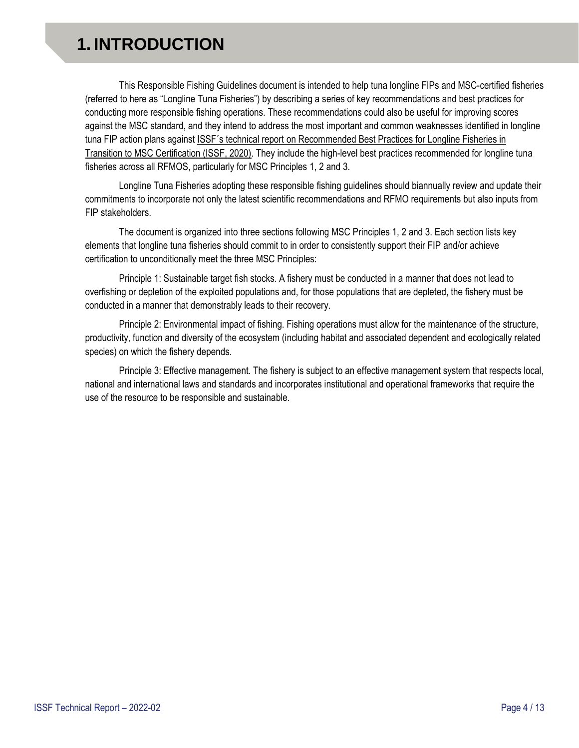## <span id="page-3-0"></span>**1. INTRODUCTION**

This Responsible Fishing Guidelines document is intended to help tuna longline FIPs and MSC-certified fisheries (referred to here as "Longline Tuna Fisheries") by describing a series of key recommendations and best practices for conducting more responsible fishing operations. These recommendations could also be useful for improving scores against the MSC standard, and they intend to address the most important and common weaknesses identified in longline tuna FIP action plans against [ISSF´s technical report on Recommended Best Practices for Longline Fisheries in](https://www.iss-foundation.org/research-advocacy-recommendations/our-scientific-program/scientific-reports/download-info/issf-2020-10-recommended-best-practices-for-tuna-longline-fisheries-in-transition-to-msc-certification/)  [Transition to MSC Certification \(ISSF, 2020\).](https://www.iss-foundation.org/research-advocacy-recommendations/our-scientific-program/scientific-reports/download-info/issf-2020-10-recommended-best-practices-for-tuna-longline-fisheries-in-transition-to-msc-certification/) They include the high-level best practices recommended for longline tuna fisheries across all RFMOS, particularly for MSC Principles 1, 2 and 3.

Longline Tuna Fisheries adopting these responsible fishing guidelines should biannually review and update their commitments to incorporate not only the latest scientific recommendations and RFMO requirements but also inputs from FIP stakeholders.

The document is organized into three sections following MSC Principles 1, 2 and 3. Each section lists key elements that longline tuna fisheries should commit to in order to consistently support their FIP and/or achieve certification to unconditionally meet the three MSC Principles:

Principle 1: Sustainable target fish stocks. A fishery must be conducted in a manner that does not lead to overfishing or depletion of the exploited populations and, for those populations that are depleted, the fishery must be conducted in a manner that demonstrably leads to their recovery.

Principle 2: Environmental impact of fishing. Fishing operations must allow for the maintenance of the structure, productivity, function and diversity of the ecosystem (including habitat and associated dependent and ecologically related species) on which the fishery depends.

Principle 3: Effective management. The fishery is subject to an effective management system that respects local, national and international laws and standards and incorporates institutional and operational frameworks that require the use of the resource to be responsible and sustainable.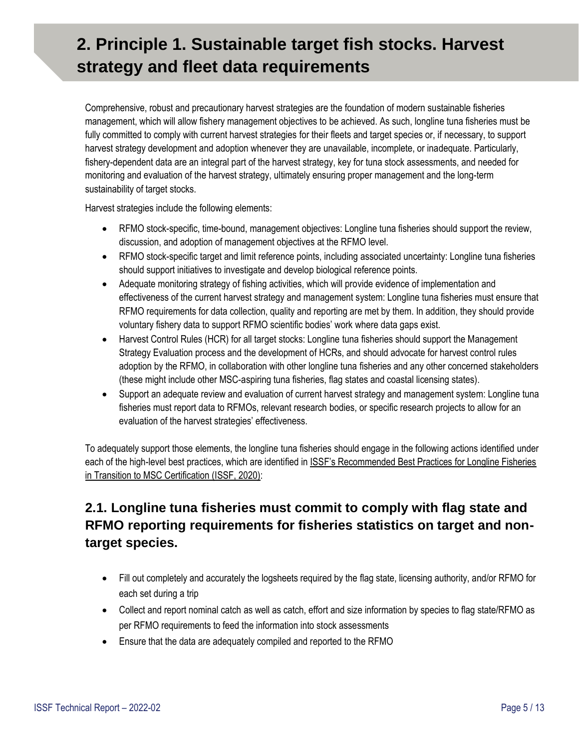## <span id="page-4-0"></span>**2. Principle 1. Sustainable target fish stocks. Harvest strategy and fleet data requirements**

Comprehensive, robust and precautionary harvest strategies are the foundation of modern sustainable fisheries management, which will allow fishery management objectives to be achieved. As such, longline tuna fisheries must be fully committed to comply with current harvest strategies for their fleets and target species or, if necessary, to support harvest strategy development and adoption whenever they are unavailable, incomplete, or inadequate. Particularly, fishery-dependent data are an integral part of the harvest strategy, key for tuna stock assessments, and needed for monitoring and evaluation of the harvest strategy, ultimately ensuring proper management and the long-term sustainability of target stocks.

Harvest strategies include the following elements:

- RFMO stock-specific, time-bound, management objectives: Longline tuna fisheries should support the review, discussion, and adoption of management objectives at the RFMO level.
- RFMO stock-specific target and limit reference points, including associated uncertainty: Longline tuna fisheries should support initiatives to investigate and develop biological reference points.
- Adequate monitoring strategy of fishing activities, which will provide evidence of implementation and effectiveness of the current harvest strategy and management system: Longline tuna fisheries must ensure that RFMO requirements for data collection, quality and reporting are met by them. In addition, they should provide voluntary fishery data to support RFMO scientific bodies' work where data gaps exist.
- Harvest Control Rules (HCR) for all target stocks: Longline tuna fisheries should support the Management Strategy Evaluation process and the development of HCRs, and should advocate for harvest control rules adoption by the RFMO, in collaboration with other longline tuna fisheries and any other concerned stakeholders (these might include other MSC-aspiring tuna fisheries, flag states and coastal licensing states).
- Support an adequate review and evaluation of current harvest strategy and management system: Longline tuna fisheries must report data to RFMOs, relevant research bodies, or specific research projects to allow for an evaluation of the harvest strategies' effectiveness.

To adequately support those elements, the longline tuna fisheries should engage in the following actions identified under each of the high-level best practices, which are identified in ISSF's Recommended Best Practices for Longline Fisheries [in Transition to MSC Certification \(ISSF, 2020\):](https://www.iss-foundation.org/research-advocacy-recommendations/our-scientific-program/scientific-reports/download-info/issf-2020-10-recommended-best-practices-for-tuna-longline-fisheries-in-transition-to-msc-certification/)

### <span id="page-4-1"></span>**2.1. Longline tuna fisheries must commit to comply with flag state and RFMO reporting requirements for fisheries statistics on target and nontarget species.**

- Fill out completely and accurately the logsheets required by the flag state, licensing authority, and/or RFMO for each set during a trip
- Collect and report nominal catch as well as catch, effort and size information by species to flag state/RFMO as per RFMO requirements to feed the information into stock assessments
- Ensure that the data are adequately compiled and reported to the RFMO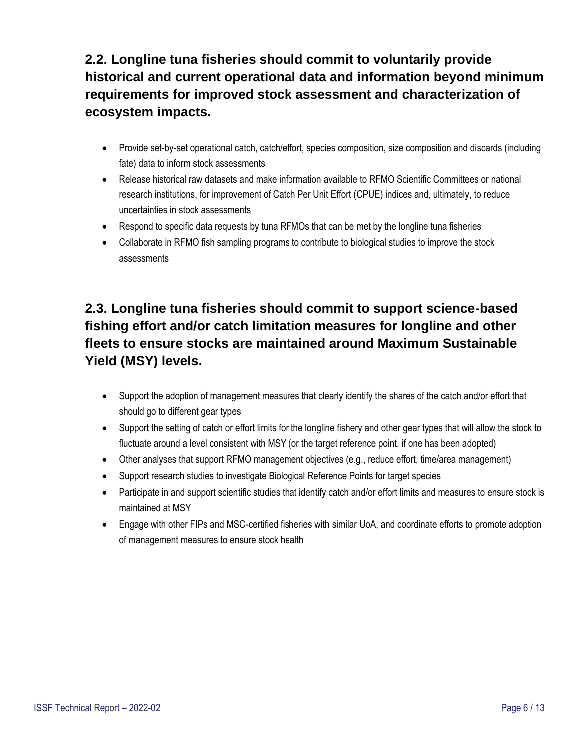<span id="page-5-0"></span>**2.2. Longline tuna fisheries should commit to voluntarily provide historical and current operational data and information beyond minimum requirements for improved stock assessment and characterization of ecosystem impacts.**

- Provide set-by-set operational catch, catch/effort, species composition, size composition and discards (including fate) data to inform stock assessments
- Release historical raw datasets and make information available to RFMO Scientific Committees or national research institutions, for improvement of Catch Per Unit Effort (CPUE) indices and, ultimately, to reduce uncertainties in stock assessments
- Respond to specific data requests by tuna RFMOs that can be met by the longline tuna fisheries
- Collaborate in RFMO fish sampling programs to contribute to biological studies to improve the stock assessments

### <span id="page-5-1"></span>**2.3. Longline tuna fisheries should commit to support science-based fishing effort and/or catch limitation measures for longline and other fleets to ensure stocks are maintained around Maximum Sustainable Yield (MSY) levels.**

- Support the adoption of management measures that clearly identify the shares of the catch and/or effort that should go to different gear types
- Support the setting of catch or effort limits for the longline fishery and other gear types that will allow the stock to fluctuate around a level consistent with MSY (or the target reference point, if one has been adopted)
- Other analyses that support RFMO management objectives (e.g., reduce effort, time/area management)
- Support research studies to investigate Biological Reference Points for target species
- Participate in and support scientific studies that identify catch and/or effort limits and measures to ensure stock is maintained at MSY
- Engage with other FIPs and MSC-certified fisheries with similar UoA, and coordinate efforts to promote adoption of management measures to ensure stock health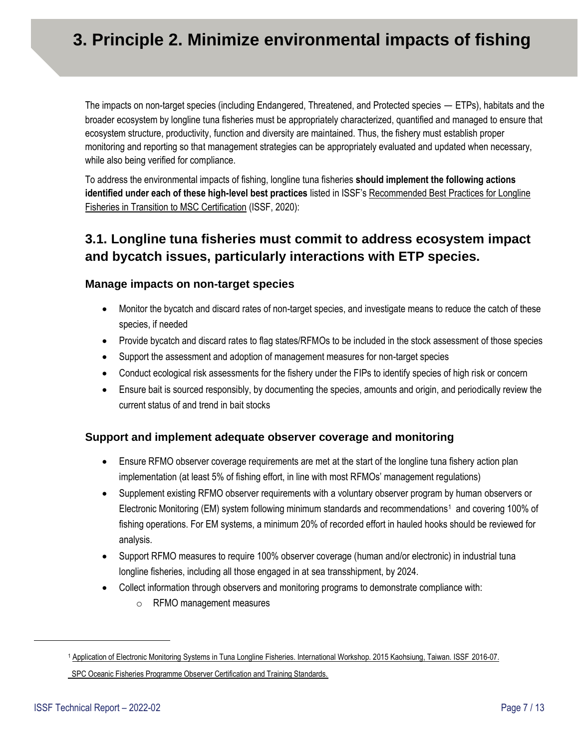## **3. Principle 2. Minimize environmental impacts of fishing**

The impacts on non-target species (including Endangered, Threatened, and Protected species — ETPs), habitats and the broader ecosystem by longline tuna fisheries must be appropriately characterized, quantified and managed to ensure that ecosystem structure, productivity, function and diversity are maintained. Thus, the fishery must establish proper monitoring and reporting so that management strategies can be appropriately evaluated and updated when necessary, while also being verified for compliance.

To address the environmental impacts of fishing, longline tuna fisheries **should implement the following actions identified under each of these high-level best practices** listed in ISSF's [Recommended Best Practices for Longline](https://www.iss-foundation.org/research-advocacy-recommendations/our-scientific-program/scientific-reports/download-info/issf-2020-10-recommended-best-practices-for-tuna-longline-fisheries-in-transition-to-msc-certification/)  [Fisheries in Transition to MSC Certification](https://www.iss-foundation.org/research-advocacy-recommendations/our-scientific-program/scientific-reports/download-info/issf-2020-10-recommended-best-practices-for-tuna-longline-fisheries-in-transition-to-msc-certification/) (ISSF, 2020):

### <span id="page-6-0"></span>**3.1. Longline tuna fisheries must commit to address ecosystem impact and bycatch issues, particularly interactions with ETP species.**

#### **Manage impacts on non-target species**

- Monitor the bycatch and discard rates of non-target species, and investigate means to reduce the catch of these species, if needed
- Provide bycatch and discard rates to flag states/RFMOs to be included in the stock assessment of those species
- Support the assessment and adoption of management measures for non-target species
- Conduct ecological risk assessments for the fishery under the FIPs to identify species of high risk or concern
- Ensure bait is sourced responsibly, by documenting the species, amounts and origin, and periodically review the current status of and trend in bait stocks

#### **Support and implement adequate observer coverage and monitoring**

- Ensure RFMO observer coverage requirements are met at the start of the longline tuna fishery action plan implementation (at least 5% of fishing effort, in line with most RFMOs' management regulations)
- Supplement existing RFMO observer requirements with a voluntary observer program by human observers or Electronic Monitoring (EM) system following minimum standards and recommendations<sup>1</sup> and covering 100% of fishing operations. For EM systems, a minimum 20% of recorded effort in hauled hooks should be reviewed for analysis.
- Support RFMO measures to require 100% observer coverage (human and/or electronic) in industrial tuna longline fisheries, including all those engaged in at sea transshipment, by 2024.
- Collect information through observers and monitoring programs to demonstrate compliance with:
	- o RFMO management measures

<sup>&</sup>lt;sup>1</sup> [Application of Electronic Monitoring Systems in Tuna Longline Fisheries. International Workshop. 2015 Kaohsiung, Taiwan. ISSF](https://iss-foundation.org/downloads/12845/) 2016-07. **SPCOceanic Fisheries Programme Observer Certification and Training Standards.**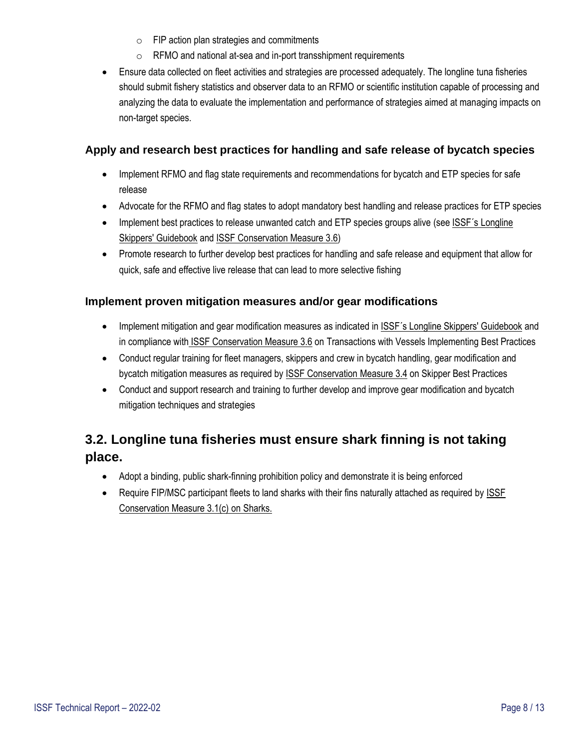- o FIP action plan strategies and commitments
- o RFMO and national at-sea and in-port transshipment requirements
- Ensure data collected on fleet activities and strategies are processed adequately. The longline tuna fisheries should submit fishery statistics and observer data to an RFMO or scientific institution capable of processing and analyzing the data to evaluate the implementation and performance of strategies aimed at managing impacts on non-target species.

#### **Apply and research best practices for handling and safe release of bycatch species**

- Implement RFMO and flag state requirements and recommendations for bycatch and ETP species for safe release
- Advocate for the RFMO and flag states to adopt mandatory best handling and release practices for ETP species
- Implement best practices to release unwanted catch and ETP species groups alive (see ISSF's Longline [Skippers' Guidebook](http://www.issfguidebooks.org/longline-cover) and [ISSF Conservation Measure 3.6\)](https://www.iss-foundation.org/vessel-and-company-commitments/conservation-measures-and-auditing/our-conservation-measures/3-bycatch-mitigation/3-6-transactions-with-vessels-implementing-best-practices-for-sharks-sea-turtles-and-seabirds/)
- Promote research to further develop best practices for handling and safe release and equipment that allow for quick, safe and effective live release that can lead to more selective fishing

#### **Implement proven mitigation measures and/or gear modifications**

- Implement mitigation and gear modification measures as indicated [in ISSF´s Longline Skippers' Guidebook](http://www.issfguidebooks.org/longline-cover) and in compliance with [ISSF Conservation Measure 3.6](https://www.iss-foundation.org/vessel-and-company-commitments/conservation-measures-and-auditing/our-conservation-measures/3-bycatch-mitigation/3-6-transactions-with-vessels-implementing-best-practices-for-sharks-sea-turtles-and-seabirds/) on Transactions with Vessels Implementing Best Practices
- Conduct regular training for fleet managers, skippers and crew in bycatch handling, gear modification and bycatch mitigation measures as required by [ISSF Conservation Measure 3.4](https://www.iss-foundation.org/vessel-and-company-commitments/conservation-measures-and-auditing/our-conservation-measures/3-bycatch-mitigation/3-4-skipper-best-practices/) on Skipper Best Practices
- Conduct and support research and training to further develop and improve gear modification and bycatch mitigation techniques and strategies

### <span id="page-7-0"></span>**3.2. Longline tuna fisheries must ensure shark finning is not taking place.**

- Adopt a binding, public shark-finning prohibition policy and demonstrate it is being enforced
- Require FIP/MSC participant fleets to land sharks with their fins naturally attached as required by [ISSF](https://www.iss-foundation.org/vessel-and-company-commitments/conservation-measures-and-auditing/our-conservation-measures/3-bycatch-mitigation/3-1c-prohibition-of-transactions-with-companies-without-a-public-policy-prohibiting-shark-finning/) [Conservation Measure 3.1\(c\)](https://www.iss-foundation.org/vessel-and-company-commitments/conservation-measures-and-auditing/our-conservation-measures/3-bycatch-mitigation/3-1c-prohibition-of-transactions-with-companies-without-a-public-policy-prohibiting-shark-finning/) on Sharks.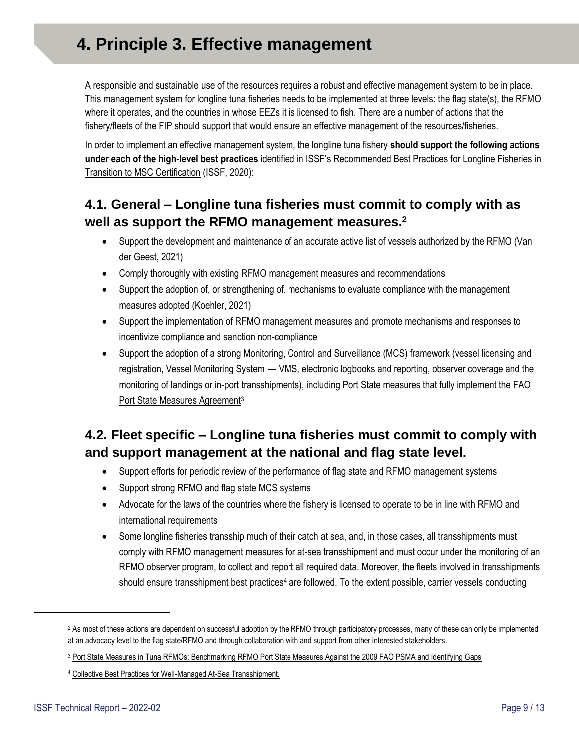<span id="page-8-0"></span>A responsible and sustainable use of the resources requires a robust and effective management system to be in place. This management system for longline tuna fisheries needs to be implemented at three levels: the flag state(s), the RFMO where it operates, and the countries in whose EEZs it is licensed to fish. There are a number of actions that the fishery/fleets of the FIP should support that would ensure an effective management of the resources/fisheries.

In order to implement an effective management system, the longline tuna fishery **should support the following actions under each of the high-level best practices** identified in ISSF's [Recommended Best Practices for Longline Fisheries in](https://www.iss-foundation.org/research-advocacy-recommendations/our-scientific-program/scientific-reports/download-info/issf-2020-10-recommended-best-practices-for-tuna-longline-fisheries-in-transition-to-msc-certification/)  [Transition to MSC Certification](https://www.iss-foundation.org/research-advocacy-recommendations/our-scientific-program/scientific-reports/download-info/issf-2020-10-recommended-best-practices-for-tuna-longline-fisheries-in-transition-to-msc-certification/) (ISSF, 2020):

### <span id="page-8-1"></span>**4.1. General – Longline tuna fisheries must commit to comply with as well as support the RFMO management measures. 2**

- Support the development and maintenance of an accurate active list of vessels authorized by the RFMO (Van der Geest, 2021)
- Comply thoroughly with existing RFMO management measures and recommendations
- Support the adoption of, or strengthening of, mechanisms to evaluate compliance with the management measures adopted (Koehler, 2021)
- Support the implementation of RFMO management measures and promote mechanisms and responses to incentivize compliance and sanction non-compliance
- Support the adoption of a strong Monitoring, Control and Surveillance (MCS) framework (vessel licensing and registration, Vessel Monitoring System — VMS, electronic logbooks and reporting, observer coverage and the monitoring of landings or in-port transshipments), including Port State measures that fully implement th[e FAO](https://www.iss-foundation.org/downloads/21835/)  [Port State Measures Agreement](https://www.iss-foundation.org/downloads/21835/)<sup>3</sup>

### <span id="page-8-2"></span>**4.2. Fleet specific – Longline tuna fisheries must commit to comply with and support management at the national and flag state level.**

- Support efforts for periodic review of the performance of flag state and RFMO management systems
- Support strong RFMO and flag state MCS systems
- Advocate for the laws of the countries where the fishery is licensed to operate to be in line with RFMO and international requirements
- Some longline fisheries transship much of their catch at sea, and, in those cases, all transshipments must comply with RFMO management measures for at-sea transshipment and must occur under the monitoring of an RFMO observer program, to collect and report all required data. Moreover, the fleets involved in transshipments should ensure transshipment best practices<sup>4</sup> are followed. To the extent possible, carrier vessels conducting

<sup>&</sup>lt;sup>2</sup> As most of these actions are dependent on successful adoption by the RFMO through participatory processes, many of these can only be implemented at an advocacy level to the flag state/RFMO and through collaboration with and support from other interested stakeholders.

<sup>&</sup>lt;sup>3</sup> [Port State Measures in Tuna RFMOs: Benchmarking RFMO Port State Measures Against the 2009 FAO PSMA and Identifying Gaps](https://www.iss-foundation.org/downloads/21835/)

<sup>4</sup> [Collective Best Practices for Well-Managed At-Sea Transshipment.](https://www.iss-foundation.org/issf-downloads/download-info/ngo-tuna-forum-collective-best-practices-for-well-managed-at-sea-transshipment/)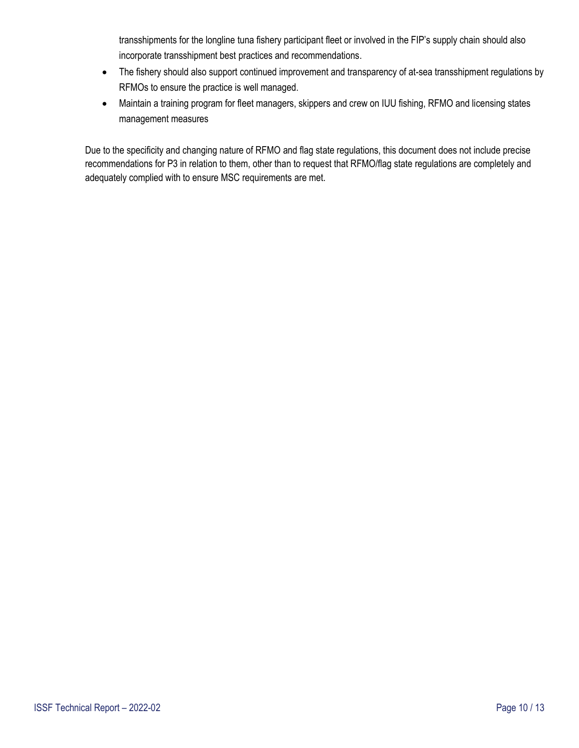transshipments for the longline tuna fishery participant fleet or involved in the FIP's supply chain should also incorporate transshipment best practices and recommendations.

- The fishery should also support continued improvement and transparency of at-sea transshipment regulations by RFMOs to ensure the practice is well managed.
- Maintain a training program for fleet managers, skippers and crew on IUU fishing, RFMO and licensing states management measures

Due to the specificity and changing nature of RFMO and flag state regulations, this document does not include precise recommendations for P3 in relation to them, other than to request that RFMO/flag state regulations are completely and adequately complied with to ensure MSC requirements are met.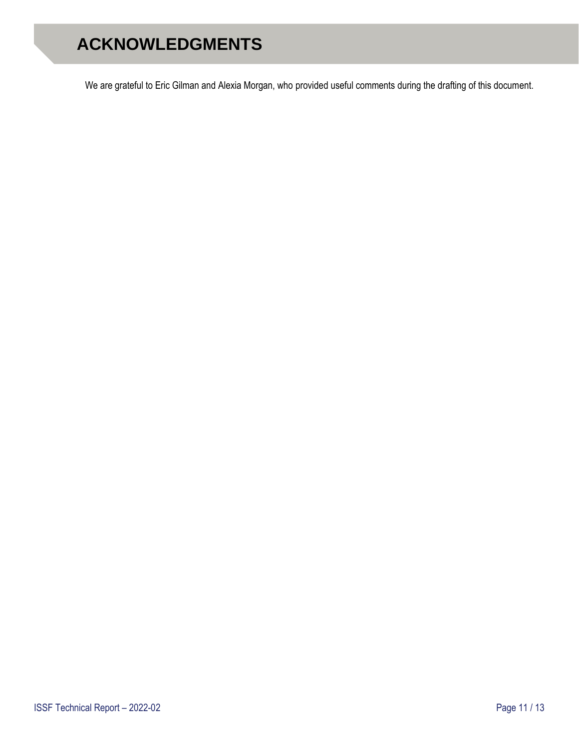## <span id="page-10-0"></span>**ACKNOWLEDGMENTS**

We are grateful to Eric Gilman and Alexia Morgan, who provided useful comments during the drafting of this document.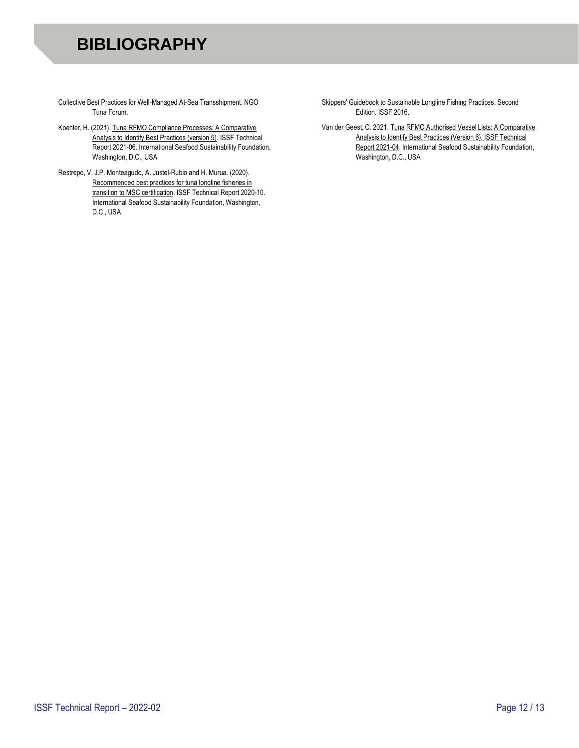## <span id="page-11-0"></span>**BIBLIOGRAPHY**

- Collective Best Practices for Well-Managed At-Sea Transshipment. NGO Tuna Forum.
- Koehler, H. (2021). Tuna RFMO Compliance Processes: A Comparative Analysis to Identify Best Practices (version 5). ISSF Technical Report 2021-06. International Seafood Sustainability Foundation, Washington, D.C., USA
- Restrepo, V. J.P. Monteagudo, A. Justel-Rubio and H. Murua. (2020). Recommended best practices for tuna longline fisheries in transition to MSC certification. ISSF Technical Report 2020-10. International Seafood Sustainability Foundation, Washington, D.C., USA

[Skippers' Guidebook to Sustainable Longline Fishing Practices,](http://www.issfguidebooks.org/downloadable-guides) Second Edition. ISSF 2016.

Van der Geest, C. 2021[. Tuna RFMO Authorised Vessel Lists: A Comparative](https://iss-foundation.org/knowledge-tools/technical-and-meeting-reports/download-info/issf-2021-04-tuna-rfmo-authorised-vessel-lists-a-comparative-analysis-to-identify-best-practices/%20?)  [Analysis to Identify Best Practices \(Version 6\). ISSF Technical](https://iss-foundation.org/knowledge-tools/technical-and-meeting-reports/download-info/issf-2021-04-tuna-rfmo-authorised-vessel-lists-a-comparative-analysis-to-identify-best-practices/%20?)  [Report 2021-04.](https://iss-foundation.org/knowledge-tools/technical-and-meeting-reports/download-info/issf-2021-04-tuna-rfmo-authorised-vessel-lists-a-comparative-analysis-to-identify-best-practices/%20?) International Seafood Sustainability Foundation, Washington, D.C., USA